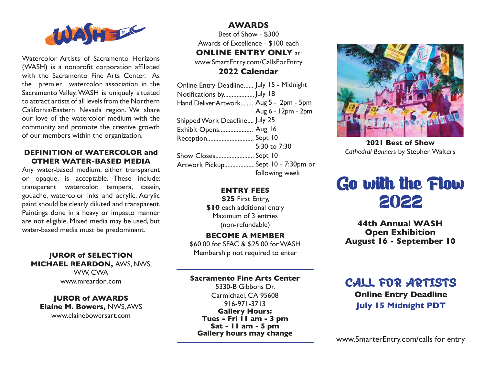

Watercolor Artists of Sacramento Horizons (WASH) is a nonprofit corporation affiliated with the Sacramento Fine Arts Center. As the premier watercolor association in the Sacramento Valley, WASH is uniquely situated to attract artists of all levels from the Northern California/Eastern Nevada region. We share our love of the watercolor medium with the community and promote the creative growth of our members within the organization.

### **DEFINITION of WATERCOLOR and OTHER WATER-BASED MEDIA**

Any water-based medium, either transparent or opaque, is acceptable. These include: transparent watercolor, tempera, casein, gouache, watercolor inks and acrylic. Acrylic paint should be clearly diluted and transparent. Paintings done in a heavy or impasto manner are not eligible. Mixed media may be used, but water-based media must be predominant.

### **JUROR of SELECTION MICHAEL REARDON,** AWS, NWS, WW, CWA www.mreardon.com

**JUROR of AWARDS Elaine M. Bowers,** NWS, AWS www.elainebowersart.com

# **AWARDS**

Best of Show - \$300 Awards of Excellence - \$100 each **ONLINE ENTRY ONLY at:** 

www.SmartEntry.com/CallsForEntry

# **2022 Calendar**

| Online Entry Deadline July 15 - Midnight |                    |
|------------------------------------------|--------------------|
| Notifications by July 18                 |                    |
| Hand Deliver Artwork Aug 5 - 2pm - 5pm   |                    |
|                                          | Aug 6 - 12pm - 2pm |
| Shipped Work Deadline July 25            |                    |
| Exhibit Opens Aug 16                     |                    |
| Reception Sept 10                        |                    |
|                                          | 5:30 to 7:30       |
| Show Closes Sept 10                      |                    |
| Artwork PickupSept 10 - 7:30pm or        |                    |
|                                          | following week     |
|                                          |                    |

### **ENTRY FEES**

**\$25** First Entry,

**\$10** each additional entry Maximum of 3 entries (non-refundable)

#### **BECOME A MEMBER**

\$60.00 for SFAC & \$25.00 for WASH Membership not required to enter

### **Sacramento Fine Arts Center**

5330-B Gibbons Dr. Carmichael, CA 95608 916-971-3713 **Gallery Hours: Tues - Fri 11 am - 3 pm Sat - 11 am - 5 pm Gallery hours may change**



**2021 Best of Show** *Cathedral Banners* by Stephen Walters

# **Go with the Flow 2022**

**44th Annual WASH Open Exhibition August 16 - September 10**

# **CALL FOR ARTISTS Online Entry Deadline July 15 Midnight PDT**

www.SmarterEntry.com/calls for entry